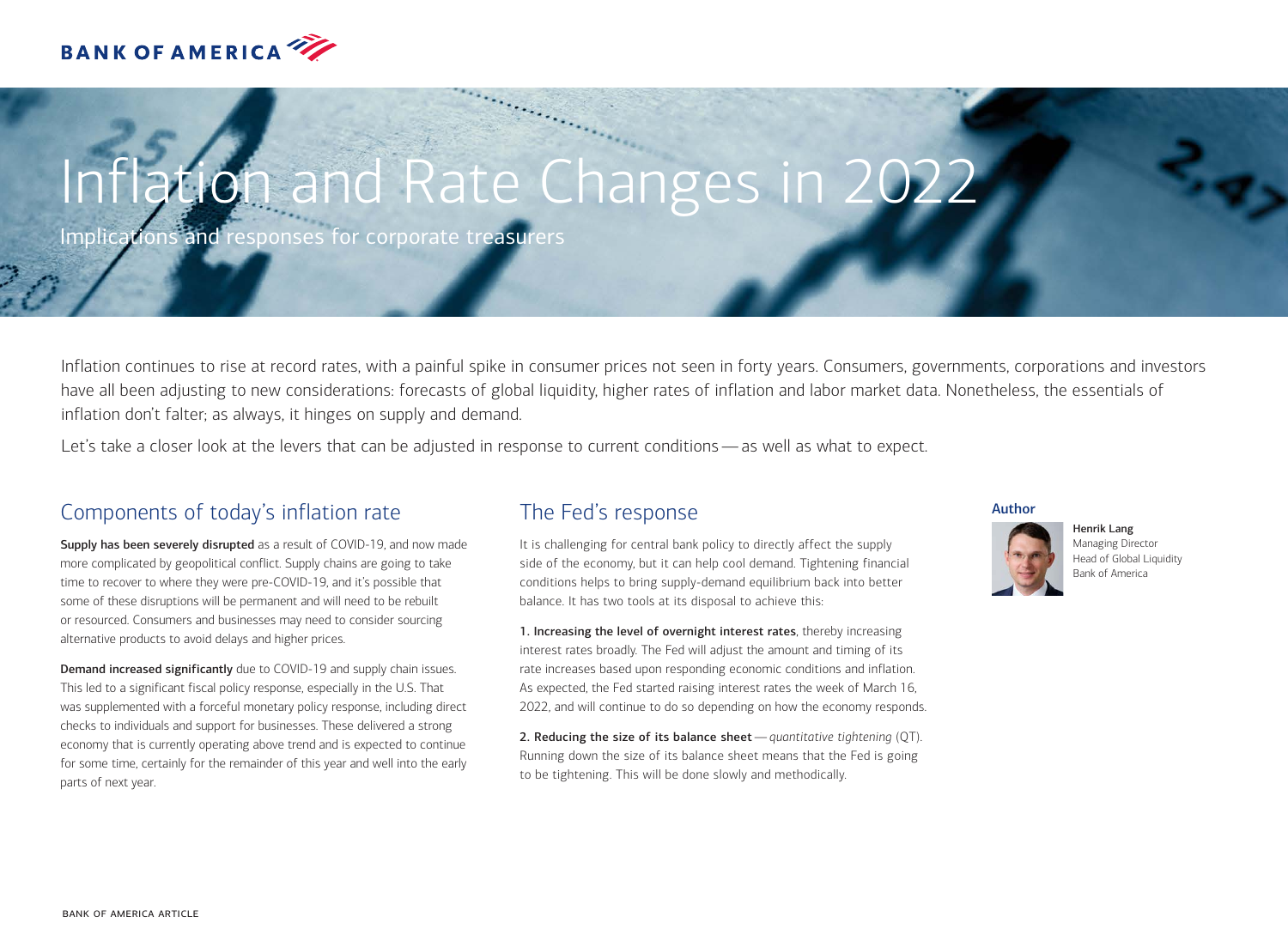

# Iation and Rate Changes in 2022

Implications and responses for corporate treasurers

Inflation continues to rise at record rates, with a painful spike in consumer prices not seen in forty years. Consumers, governments, corporations and investors have all been adjusting to new considerations: forecasts of global liquidity, higher rates of inflation and labor market data. Nonetheless, the essentials of inflation don't falter; as always, it hinges on supply and demand.

Let's take a closer look at the levers that can be adjusted in response to current conditions—as well as what to expect.

# Components of today's inflation rate

Supply has been severely disrupted as a result of COVID-19, and now made more complicated by geopolitical conflict. Supply chains are going to take time to recover to where they were pre-COVID-19, and it's possible that some of these disruptions will be permanent and will need to be rebuilt or resourced. Consumers and businesses may need to consider sourcing alternative products to avoid delays and higher prices.

Demand increased significantly due to COVID-19 and supply chain issues. This led to a significant fiscal policy response, especially in the U.S. That was supplemented with a forceful monetary policy response, including direct checks to individuals and support for businesses. These delivered a strong economy that is currently operating above trend and is expected to continue for some time, certainly for the remainder of this year and well into the early parts of next year.

## The Fed's response

It is challenging for central bank policy to directly affect the supply side of the economy, but it can help cool demand. Tightening financial conditions helps to bring supply-demand equilibrium back into better balance. It has two tools at its disposal to achieve this:

1. Increasing the level of overnight interest rates, thereby increasing interest rates broadly. The Fed will adjust the amount and timing of its rate increases based upon responding economic conditions and inflation. As expected, the Fed started raising interest rates the week of March 16, 2022, and will continue to do so depending on how the economy responds.

2. Reducing the size of its balance sheet—*quantitative tightening* (QT). Running down the size of its balance sheet means that the Fed is going to be tightening. This will be done slowly and methodically.

## Author



Henrik Lang Managing Director Head of Global Liquidity Bank of America